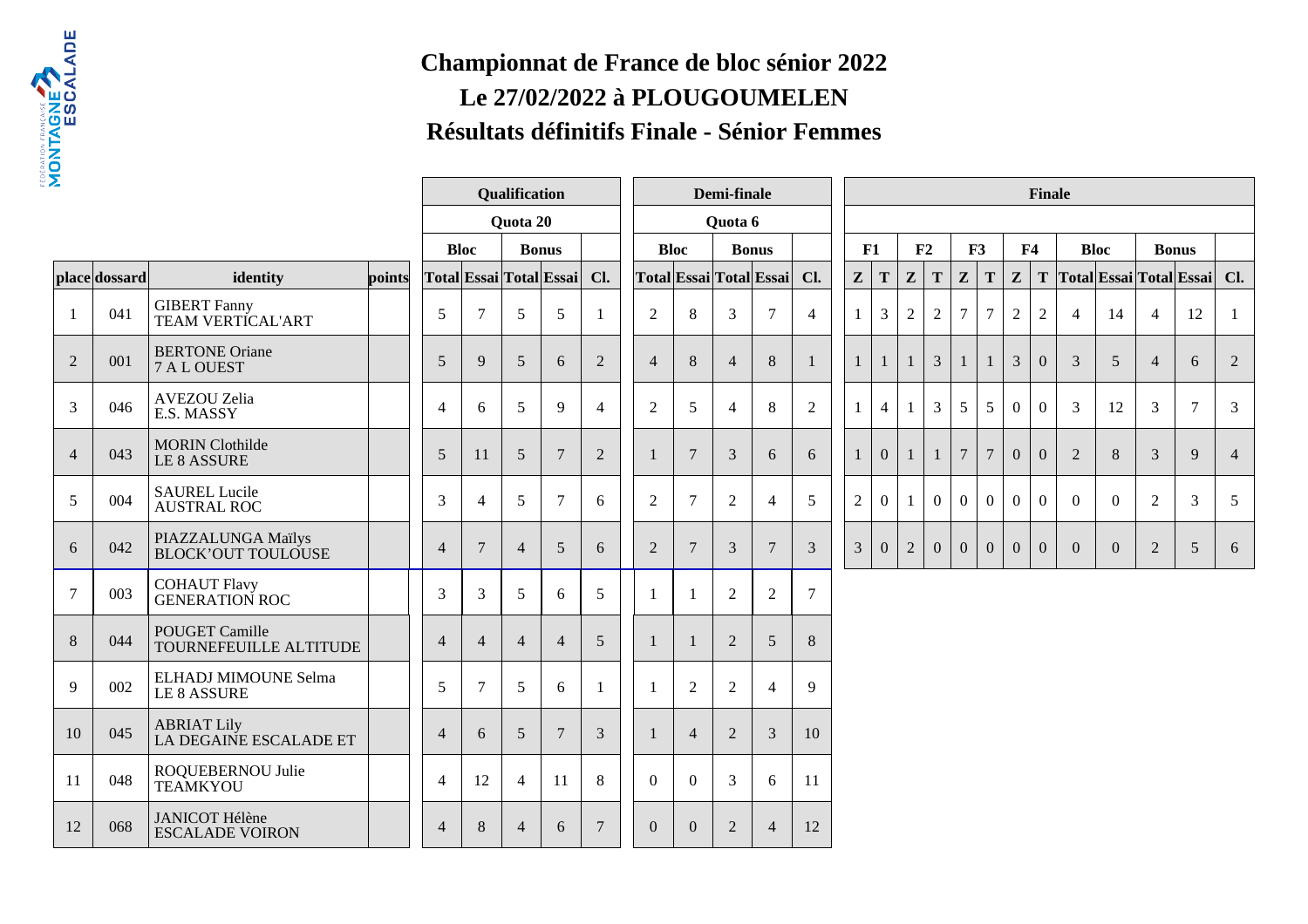

## **Championnat de France de bloc sénior 2022Le 27/02/2022 à PLOUGOUMELENRésultats définitifs Finale - Sénior Femmes**

|                |               |                                                 | Qualification |                |                |                | Demi-finale             |                |                |                                |                  | <b>Finale</b>           |                |                |                |                |                |                |                 |                  |                |                         |                |                |                |                |
|----------------|---------------|-------------------------------------------------|---------------|----------------|----------------|----------------|-------------------------|----------------|----------------|--------------------------------|------------------|-------------------------|----------------|----------------|----------------|----------------|----------------|----------------|-----------------|------------------|----------------|-------------------------|----------------|----------------|----------------|----------------|
|                |               |                                                 |               |                |                |                | <b>Ouota 20</b>         |                |                |                                | Quota 6          |                         |                |                |                |                |                |                |                 |                  |                |                         |                |                |                |                |
|                |               |                                                 |               |                | <b>Bloc</b>    | <b>Bonus</b>   |                         |                |                | <b>Bloc</b>                    |                  | <b>Bonus</b>            |                |                | F1             |                | F2             | F3             |                 | F <sub>4</sub>   |                | <b>Bloc</b>             |                |                | <b>Bonus</b>   |                |
|                | place dossard | identity                                        | points        |                |                |                | Total Essai Total Essai | Cl.            |                |                                |                  | Total Essai Total Essai | Cl.            | Z              | T              | $\mathbf{z}$   | ${\bf T}$      | $\mathbf{z}$   | T               | $\mathbf{Z}$     | T              | Total Essai Total Essai |                |                |                | Cl.            |
|                | 041           | <b>GIBERT Fanny</b><br>TEAM VERTICAL'ART        |               | 5              | $\overline{7}$ | 5              | 5                       | -1             | $\overline{2}$ | 8                              | $\mathfrak{Z}$   | $\overline{7}$          | 4              | $\mathbf{1}$   | 3              | $\overline{2}$ | $\overline{c}$ | 7              | $\tau$          | $\boldsymbol{2}$ | $\overline{2}$ | $\overline{4}$          | 14             | $\overline{4}$ | 12             | -1             |
| $\overline{2}$ | 001           | <b>BERTONE Oriane</b><br>7 A L OUEST            |               | 5              | 9              | 5              | 6                       | 2              | $\overline{4}$ | 8                              | $\overline{4}$   | 8                       |                | $\mathbf{1}$   | -1             | 1              | $\overline{3}$ |                | $\mathbf{1}$    | $\mathfrak{Z}$   | $\mathbf{0}$   | 3                       | 5              | $\overline{4}$ | 6              | 2              |
| 3              | 046           | AVEZOU Zelia<br>E.S. MASSY                      |               | $\overline{4}$ | 6              | 5              | 9                       | $\overline{4}$ | $\overline{2}$ | 5                              | $\overline{4}$   | 8                       | $\overline{2}$ | $\mathbf{1}$   | $\overline{4}$ | $\mathbf{1}$   | $\overline{3}$ | 5              | $\overline{5}$  | $\mathbf{0}$     | $\overline{0}$ | 3                       | 12             | 3              | $\tau$         | 3              |
| $\overline{4}$ | 043           | <b>MORIN</b> Clothilde<br>LE 8 ASSURE           |               | 5              | 11             | $\overline{5}$ | $7\phantom{.0}$         | $\overline{2}$ | $\mathbf{1}$   | $7\phantom{.0}$<br>3<br>6<br>6 |                  |                         |                | $\mathbf{1}$   | $\mathbf{0}$   |                | $\mathbf{1}$   | $\overline{7}$ | $7\phantom{.0}$ | $\mathbf{0}$     | $\Omega$       | 2                       | $8\phantom{.}$ | $\overline{3}$ | 9              | $\overline{4}$ |
| 5              | 004           | <b>SAUREL Lucile</b><br><b>AUSTRAL ROC</b>      |               | 3              | $\overline{4}$ | 5              | $\overline{7}$          | 6              | $\overline{2}$ | 7                              | $\overline{2}$   | $\overline{4}$          | 5              | $\overline{2}$ | $\mathbf{0}$   |                | $\overline{0}$ | $\Omega$       | $\overline{0}$  | $\overline{0}$   | $\theta$       | $\theta$                | $\Omega$       | $\overline{2}$ | 3              | 5              |
| 6              | 042           | PIAZZALUNGA Maïlys<br><b>BLOCK'OUT TOULOUSE</b> |               | $\overline{4}$ | 7              | $\overline{4}$ | $5\overline{)}$         | 6              | $\overline{2}$ | $\tau$                         | 3                | $\overline{7}$          | 3              | $\mathfrak{Z}$ | $\overline{0}$ | $\sqrt{2}$     | $\overline{0}$ | $\overline{0}$ | $\mathbf{0}$    | $\mathbf{0}$     | $\mathbf{0}$   | $\Omega$                | $\overline{0}$ | 2              | $\mathfrak{S}$ | 6              |
| $\overline{7}$ | 003           | <b>COHAUT Flavy<br/>GENERATION ROC</b>          |               | 3              | 3              | 5              | 6                       | 5              |                | $\mathbf{1}$                   | $\overline{2}$   | $\overline{2}$          | $\overline{7}$ |                |                |                |                |                |                 |                  |                |                         |                |                |                |                |
| 8              | 044           | POUGET Camille<br>TOURNEFEUILLE ALTITUDE        |               | $\overline{4}$ | $\overline{4}$ | $\overline{4}$ | $\overline{4}$          | 5              | $\mathbf{1}$   | $\mathbf{1}$                   | $\overline{2}$   | 5                       | 8              |                |                |                |                |                |                 |                  |                |                         |                |                |                |                |
| 9              | 002           | ELHADJ MIMOUNE Selma<br>LE 8 ASSURE             |               | 5              | $\overline{7}$ | 5              | 6                       |                |                | $\overline{2}$                 | $\boldsymbol{2}$ | $\overline{4}$          | 9              |                |                |                |                |                |                 |                  |                |                         |                |                |                |                |
| 10             | 045           | <b>ABRIAT Lily</b><br>LA DEGAINE ESCALADE ET    |               | $\overline{4}$ | 6              | 5              | $7\phantom{.0}$         | 3              |                | $\overline{4}$                 | $\overline{2}$   | 3                       | 10             |                |                |                |                |                |                 |                  |                |                         |                |                |                |                |
| 11             | 048           | ROQUEBERNOU Julie<br><b>TEAMKYOU</b>            |               | $\overline{4}$ | 12             | $\overline{4}$ | 11                      | 8              | $\overline{0}$ | $\theta$                       | 3                | 6                       | 11             |                |                |                |                |                |                 |                  |                |                         |                |                |                |                |
| 12             | 068           | <b>JANICOT Hélène</b><br><b>ESCALADE VOIRON</b> |               | $\overline{4}$ | $\,8\,$        | $\overline{4}$ | 6                       | $\overline{7}$ | $\overline{0}$ | $\mathbf{0}$                   | $\overline{2}$   | $\overline{4}$          | 12             |                |                |                |                |                |                 |                  |                |                         |                |                |                |                |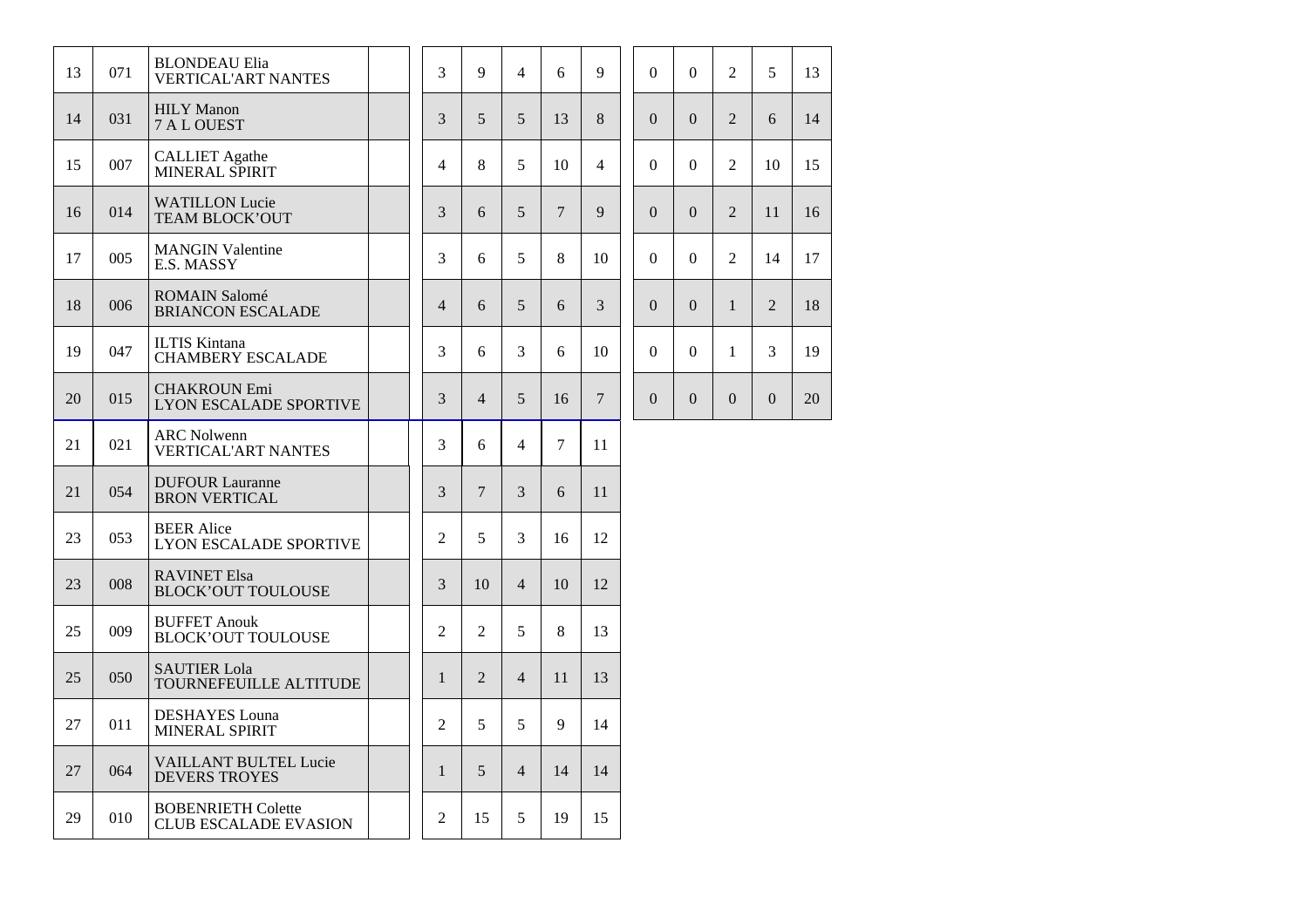| 13 | 071 | <b>BLONDEAU Elia</b><br><b>VERTICAL'ART NANTES</b>        |  | 3              | 9              | $\overline{4}$ | 6      | 9              | $\Omega$       | $\Omega$       | 2              | 5              | 13 |
|----|-----|-----------------------------------------------------------|--|----------------|----------------|----------------|--------|----------------|----------------|----------------|----------------|----------------|----|
| 14 | 031 | <b>HILY</b> Manon<br>7 A L OUEST                          |  | 3              | 5              | 5              | 13     | 8              | $\overline{0}$ | $\Omega$       | $\overline{2}$ | 6              | 14 |
| 15 | 007 | <b>CALLIET</b> Agathe<br>MINERAL SPIRIT                   |  | $\overline{4}$ | 8              | 5              | 10     | $\overline{4}$ | $\Omega$       | $\Omega$       | $\mathfrak{D}$ | 10             | 15 |
| 16 | 014 | <b>WATILLON Lucie</b><br>TEAM BLOCK'OUT                   |  | 3              | 6              | 5              | 7      | 9              | $\Omega$       | $\Omega$       | 2              | 11             | 16 |
| 17 | 005 | <b>MANGIN Valentine</b><br>E.S. MASSY                     |  | 3              | 6              | 5              | 8      | 10             | $\Omega$       | $\Omega$       | 2              | 14             | 17 |
| 18 | 006 | <b>ROMAIN Salomé</b><br><b>BRIANCON ESCALADE</b>          |  | $\overline{4}$ | 6              | 5              | 6      | 3              | $\Omega$       | $\Omega$       | $\mathbf{1}$   | 2              | 18 |
| 19 | 047 | <b>ILTIS Kintana</b><br><b>CHAMBERY ESCALADE</b>          |  | 3              | 6              | 3              | 6      | 10             | $\Omega$       | $\Omega$       | 1              | $\overline{3}$ | 19 |
| 20 | 015 | <b>CHAKROUN Emi</b><br><b>LYON ESCALADE SPORTIVE</b>      |  | 3              | $\overline{4}$ | 5              | 16     | $\overline{7}$ | $\overline{0}$ | $\overline{0}$ | $\overline{0}$ | $\overline{0}$ | 20 |
| 21 | 021 | <b>ARC Nolwenn</b><br><b>VERTICAL'ART NANTES</b>          |  | 3              | 6              | 4              | $\tau$ | 11             |                |                |                |                |    |
| 21 | 054 | <b>DUFOUR Lauranne</b><br><b>BRON VERTICAL</b>            |  | 3              | $\overline{7}$ | 3              | 6      | 11             |                |                |                |                |    |
| 23 | 053 | <b>BEER</b> Alice<br>LYON ESCALADE SPORTIVE               |  | $\overline{2}$ | 5              | 3              | 16     | 12             |                |                |                |                |    |
| 23 | 008 | <b>RAVINET Elsa</b><br><b>BLOCK'OUT TOULOUSE</b>          |  | 3              | 10             | $\overline{4}$ | 10     | 12             |                |                |                |                |    |
| 25 | 009 | <b>BUFFET Anouk</b><br><b>BLOCK'OUT TOULOUSE</b>          |  | 2              | 2              | 5              | 8      | 13             |                |                |                |                |    |
| 25 | 050 | <b>SAUTIER Lola</b><br>TOURNEFEUILLE ALTITUDE             |  | $\mathbf{1}$   | $\overline{2}$ | $\overline{4}$ | 11     | 13             |                |                |                |                |    |
| 27 | 011 | <b>DESHAYES</b> Louna<br><b>MINERAL SPIRIT</b>            |  | $\mathfrak{D}$ | 5              | 5              | 9      | 14             |                |                |                |                |    |
| 27 | 064 | <b>VAILLANT BULTEL Lucie</b><br><b>DEVERS TROYES</b>      |  | $\mathbf{1}$   | 5              | $\overline{4}$ | 14     | 14             |                |                |                |                |    |
| 29 | 010 | <b>BOBENRIETH Colette</b><br><b>CLUB ESCALADE EVASION</b> |  | 2              | 15             | 5              | 19     | 15             |                |                |                |                |    |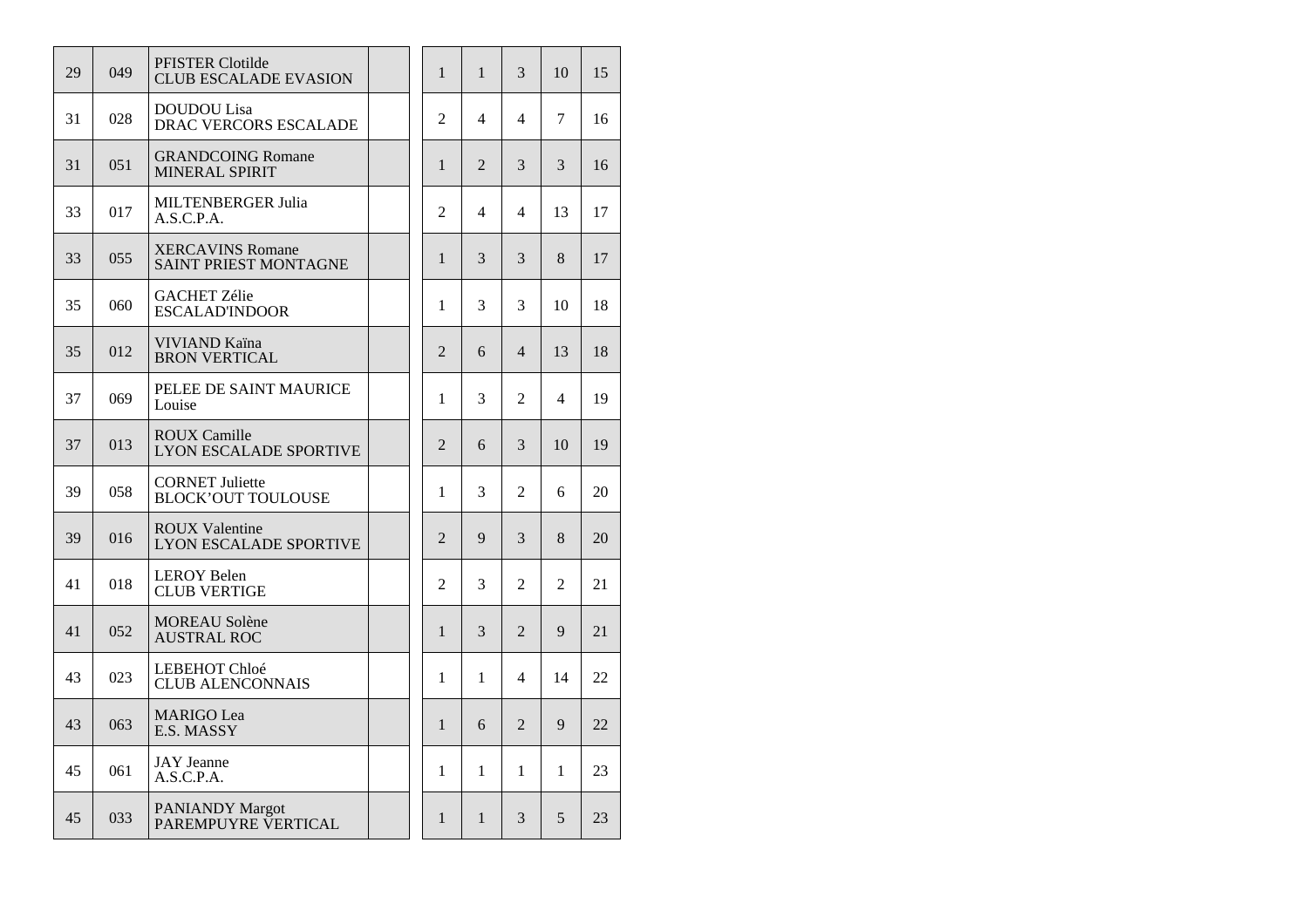| 29 | 049 | PFISTER Clotilde<br><b>CLUB ESCALADE EVASION</b>        | $\mathbf{1}$   | $\mathbf{1}$   | 3              | 10             | 15 |
|----|-----|---------------------------------------------------------|----------------|----------------|----------------|----------------|----|
| 31 | 028 | <b>DOUDOU</b> Lisa<br><b>DRAC VERCORS ESCALADE</b>      | $\overline{2}$ | 4              | $\overline{4}$ | 7              | 16 |
| 31 | 051 | <b>GRANDCOING Romane</b><br>MINERAL SPIRIT              | $\mathbf{1}$   | $\overline{2}$ | 3              | 3              | 16 |
| 33 | 017 | MILTENBERGER Julia<br>A.S.C.P.A.                        | 2              | $\overline{4}$ | $\overline{4}$ | 13             | 17 |
| 33 | 055 | <b>XERCAVINS Romane</b><br><b>SAINT PRIEST MONTAGNE</b> | $\mathbf{1}$   | 3              | 3              | 8              | 17 |
| 35 | 060 | <b>GACHET Zélie</b><br><b>ESCALAD'INDOOR</b>            | 1              | 3              | 3              | 10             | 18 |
| 35 | 012 | VIVIAND Kaïna<br><b>BRON VERTICAL</b>                   | $\overline{2}$ | 6              | $\overline{4}$ | 13             | 18 |
| 37 | 069 | PELEE DE SAINT MAURICE<br>Louise                        | 1              | 3              | $\overline{2}$ | 4              | 19 |
| 37 | 013 | <b>ROUX Camille</b><br><b>LYON ESCALADE SPORTIVE</b>    | 2              | 6              | 3              | 10             | 19 |
| 39 | 058 | <b>CORNET Juliette</b><br><b>BLOCK'OUT TOULOUSE</b>     | $\mathbf{1}$   | 3              | $\overline{2}$ | 6              | 20 |
| 39 | 016 | <b>ROUX Valentine</b><br><b>LYON ESCALADE SPORTIVE</b>  | $\overline{2}$ | 9              | 3              | 8              | 20 |
| 41 | 018 | <b>LEROY Belen</b><br><b>CLUB VERTIGE</b>               | $\overline{c}$ | 3              | $\overline{2}$ | $\overline{2}$ | 21 |
| 41 | 052 | <b>MOREAU Solène</b><br><b>AUSTRAL ROC</b>              | $\mathbf{1}$   | 3              | $\overline{2}$ | 9              | 21 |
| 43 | 023 | LEBEHOT Chloé<br><b>CLUB ALENCONNAIS</b>                | 1              | 1              | $\overline{4}$ | 14             | 22 |
| 43 | 063 | <b>MARIGO</b> Lea<br>E.S. MASSY                         | $\mathbf{1}$   | 6              | $\overline{2}$ | 9              | 22 |
| 45 | 061 | <b>JAY</b> Jeanne<br>A.S.C.P.A.                         | $\mathbf{1}$   | 1              | $\mathbf{1}$   | 1              | 23 |
| 45 | 033 | <b>PANIANDY Margot</b><br>PAREMPUYRE VERTICAL           | 1              | $\mathbf{1}$   | 3              | 5              | 23 |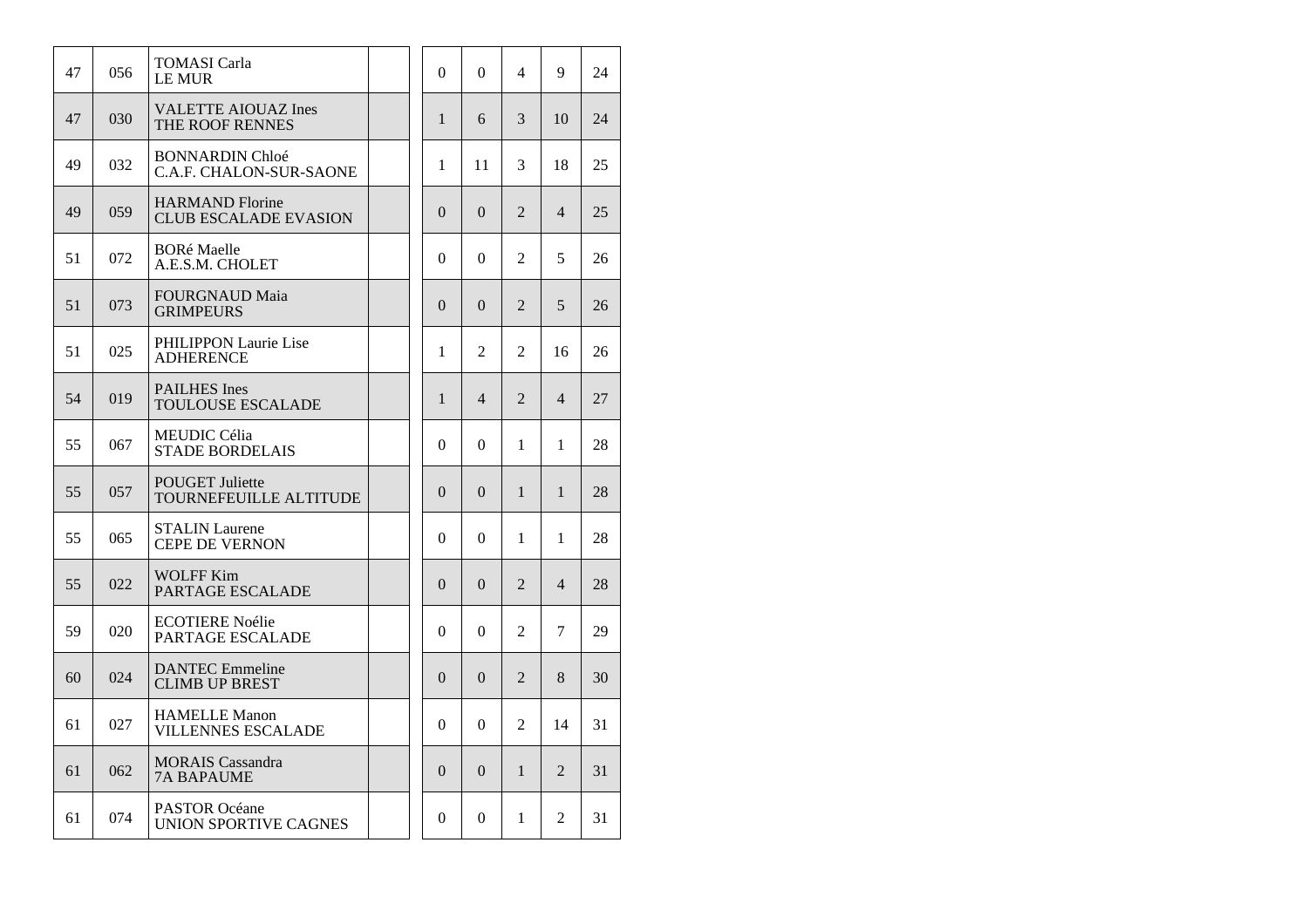| 47 | 056 | TOMASI Carla<br><b>LE MUR</b>                            | $\theta$       | $\boldsymbol{0}$ | 4              | 9                        | 24 |
|----|-----|----------------------------------------------------------|----------------|------------------|----------------|--------------------------|----|
| 47 | 030 | <b>VALETTE AIOUAZ Ines</b><br><b>THE ROOF RENNES</b>     | $\mathbf{1}$   | 6                | 3              | 10                       | 24 |
| 49 | 032 | <b>BONNARDIN Chloé</b><br><b>C.A.F. CHALON-SUR-SAONE</b> | 1              | 11               | 3              | 18                       | 25 |
| 49 | 059 | <b>HARMAND</b> Florine<br><b>CLUB ESCALADE EVASION</b>   | $\Omega$       | $\Omega$         | $\overline{2}$ | $\overline{4}$           | 25 |
| 51 | 072 | <b>BORé Maelle</b><br>A.E.S.M. CHOLET                    | $\Omega$       | $\Omega$         | 2              | 5                        | 26 |
| 51 | 073 | <b>FOURGNAUD Maia</b><br><b>GRIMPEURS</b>                | $\overline{0}$ | $\overline{0}$   | $\overline{c}$ | 5                        | 26 |
| 51 | 025 | PHILIPPON Laurie Lise<br><b>ADHERENCE</b>                | 1              | $\mathfrak{D}$   | $\mathfrak{D}$ | 16                       | 26 |
| 54 | 019 | <b>PAILHES</b> Ines<br><b>TOULOUSE ESCALADE</b>          | $\mathbf{1}$   | $\overline{4}$   | $\overline{2}$ | $\overline{4}$           | 27 |
| 55 | 067 | MEUDIC Célia<br><b>STADE BORDELAIS</b>                   | $\Omega$       | $\Omega$         | 1              | 1                        | 28 |
| 55 | 057 | <b>POUGET Juliette</b><br>TOURNEFEUILLE ALTITUDE         | $\theta$       | $\overline{0}$   | 1              | 1                        | 28 |
| 55 | 065 | <b>STALIN Laurene</b><br><b>CEPE DE VERNON</b>           | $\Omega$       | $\Omega$         | 1              | 1                        | 28 |
| 55 | 022 | <b>WOLFF Kim</b><br>PARTAGE ESCALADE                     | $\Omega$       | $\Omega$         | $\overline{2}$ | $\overline{\mathcal{L}}$ | 28 |
| 59 | 020 | <b>ECOTIERE Noélie</b><br><b>PARTAGE ESCALADE</b>        | $\theta$       | $\Omega$         | $\overline{c}$ | 7                        | 29 |
| 60 | 024 | <b>DANTEC</b> Emmeline<br><b>CLIMB UP BREST</b>          | $\Omega$       | $\Omega$         | $\overline{2}$ | 8                        | 30 |
| 61 | 027 | <b>HAMELLE Manon</b><br><b>VILLENNES ESCALADE</b>        | $\Omega$       | $\theta$         | $\overline{2}$ | 14                       | 31 |
| 61 | 062 | <b>MORAIS</b> Cassandra<br><b>7A BAPAUME</b>             | $\Omega$       | $\Omega$         | $\mathbf{1}$   | $\overline{2}$           | 31 |
| 61 | 074 | <b>PASTOR Océane</b><br>UNION SPORTIVE CAGNES            | $\Omega$       | $\Omega$         | 1              | 2                        | 31 |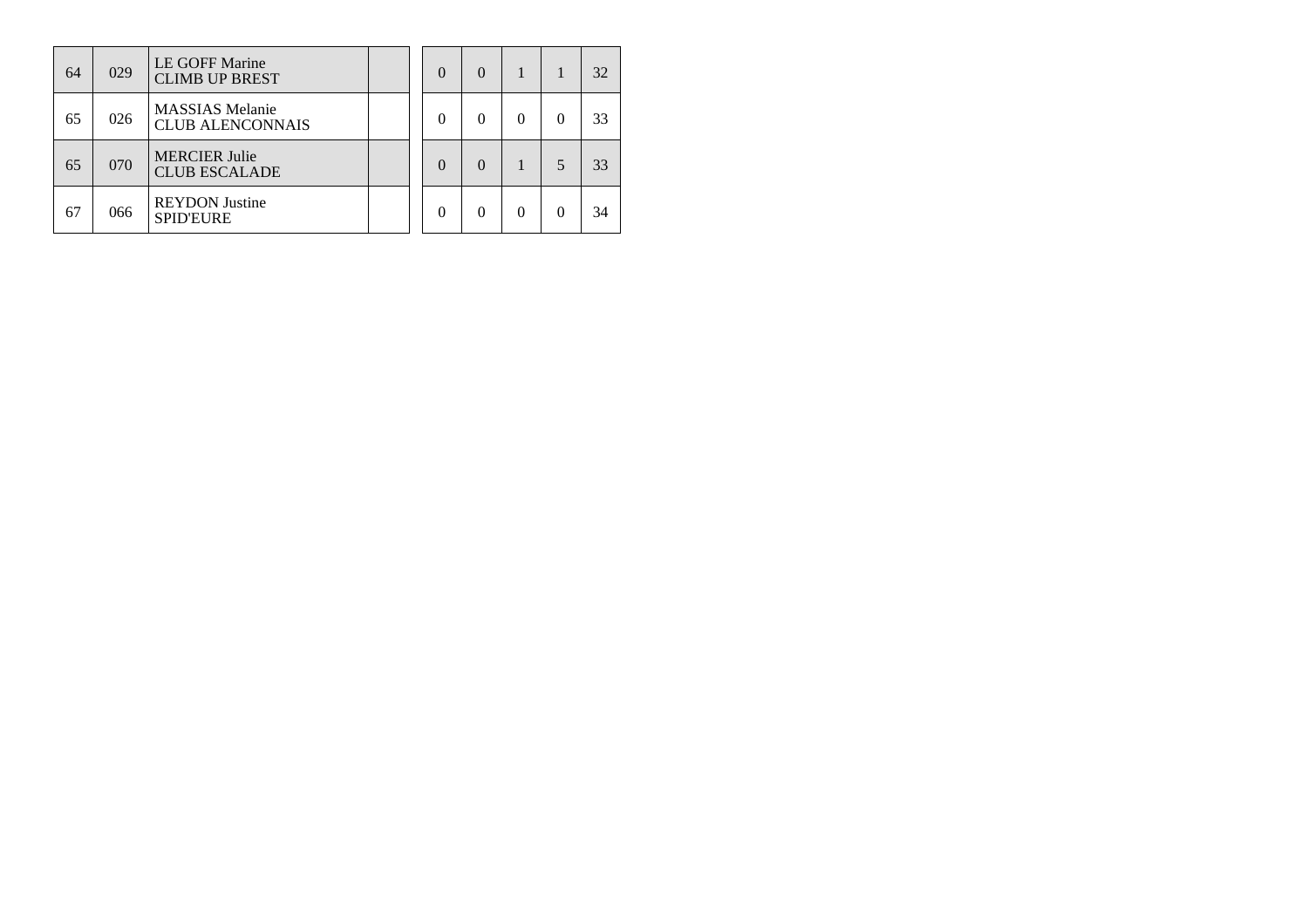| 64 | 029 | LE GOFF Marine<br><b>CLIMB UP BREST</b>           |  | $\left( \right)$ | $\Omega$ |  | 32 |
|----|-----|---------------------------------------------------|--|------------------|----------|--|----|
| 65 | 026 | <b>MASSIAS</b> Melanie<br><b>CLUB ALENCONNAIS</b> |  |                  | 0        |  | 33 |
| 65 | 070 | <b>MERCIER Julie</b><br><b>CLUB ESCALADE</b>      |  |                  | $\Omega$ |  | 33 |
| 67 | 066 | <b>REYDON Justine</b><br><b>SPID'EURE</b>         |  |                  | 0        |  | 34 |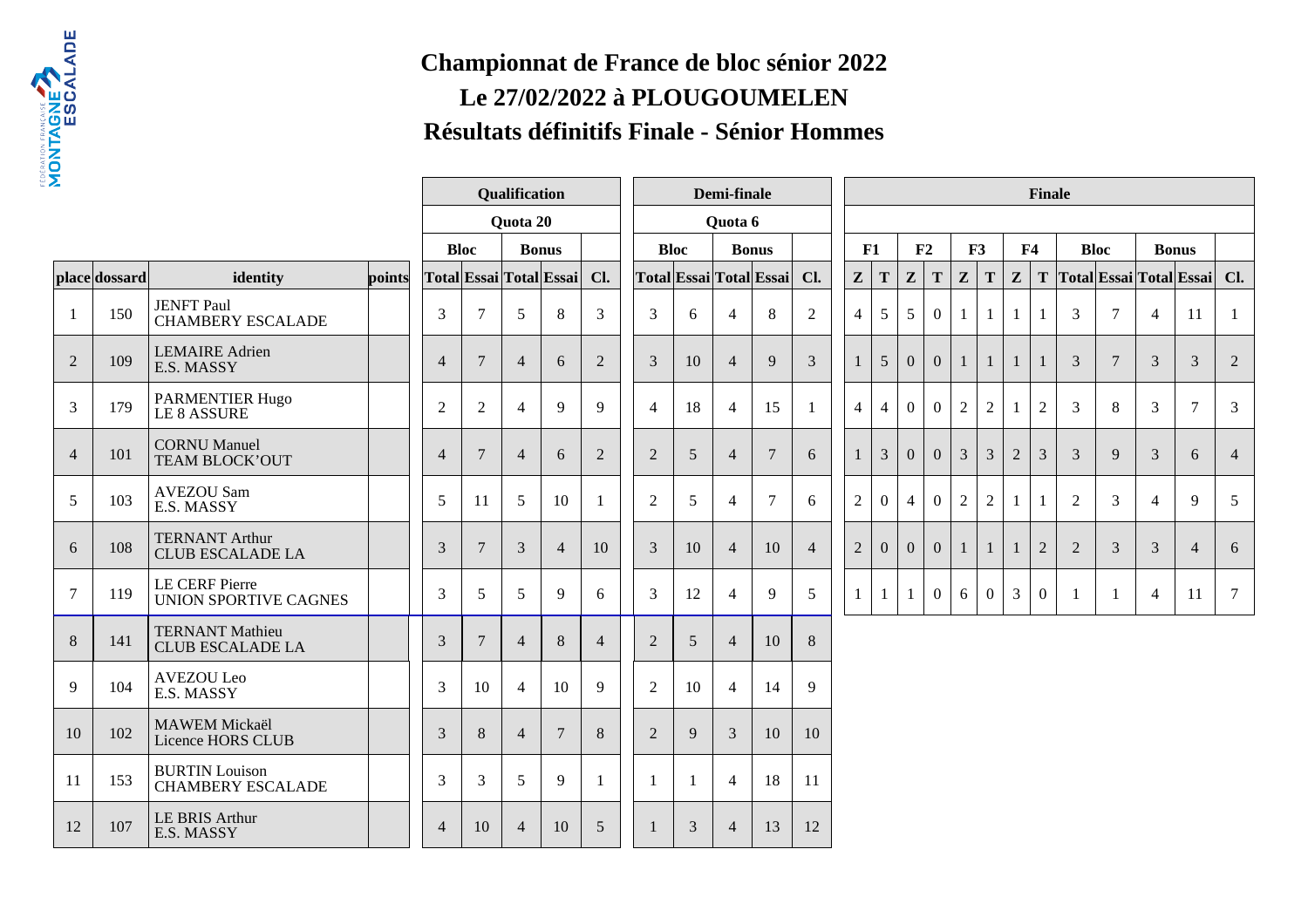

## **Championnat de France de bloc sénior 2022Le 27/02/2022 à PLOUGOUMELENRésultats définitifs Finale - Sénior Hommes**

| 2              |               |                                                   | <b>Qualification</b> |                |                 |                | Demi-finale             |                |                |    | <b>Finale</b>  |                         |                |  |                |                |                |                  |                |                |                |                |                |                |                |                         |                |
|----------------|---------------|---------------------------------------------------|----------------------|----------------|-----------------|----------------|-------------------------|----------------|----------------|----|----------------|-------------------------|----------------|--|----------------|----------------|----------------|------------------|----------------|----------------|----------------|----------------|----------------|----------------|----------------|-------------------------|----------------|
|                |               |                                                   |                      |                |                 | Quota 20       |                         |                |                |    | Quota 6        |                         |                |  |                |                |                |                  |                |                |                |                |                |                |                |                         |                |
|                |               |                                                   |                      |                | <b>Bloc</b>     |                | <b>Bonus</b>            |                | <b>Bloc</b>    |    |                | <b>Bonus</b>            |                |  | F1             |                | F2             |                  | F3             |                | F <sub>4</sub> |                | <b>Bloc</b>    |                |                | <b>Bonus</b>            |                |
|                | place dossard | identity                                          | points               |                |                 |                | Total Essai Total Essai | Cl.            |                |    |                | Total Essai Total Essai | Cl.            |  | Z              | $\mathbf T$    | $\mathbf{Z}$   | T                | Z              | $\mathbf T$    | $\mathbf{Z}$   | T              |                |                |                | Total Essai Total Essai | Cl.            |
| -1             | 150           | <b>JENFT Paul</b><br><b>CHAMBERY ESCALADE</b>     |                      | 3              | $7\phantom{.0}$ | 5              | 8                       | 3              | 3              | 6  | $\overline{4}$ | 8                       | $\overline{2}$ |  | $\overline{4}$ | 5              | 5              | $\boldsymbol{0}$ | -1             | 1              |                |                | 3              | $\tau$         | $\overline{4}$ | 11                      | -1             |
| $\overline{2}$ | 109           | <b>LEMAIRE</b> Adrien<br>E.S. MASSY               |                      | $\overline{4}$ | 7               | $\overline{4}$ | 6                       | 2              | 3              | 10 | $\overline{4}$ | 9                       | 3              |  |                | $\mathfrak{S}$ | $\Omega$       | $\overline{0}$   | $\mathbf{1}$   | $\mathbf{1}$   | $\mathbf{1}$   |                | 3              | $\overline{7}$ | 3              | $\mathfrak{Z}$          | $\overline{2}$ |
| 3              | 179           | PARMENTIER Hugo<br><b>LE 8 ASSURE</b>             |                      | $\overline{2}$ | $\overline{2}$  | $\overline{4}$ | 9                       | 9              | $\overline{4}$ | 18 | $\overline{4}$ | 15                      | 1              |  | $\overline{4}$ | $\overline{4}$ | $\theta$       | $\overline{0}$   | $\mathfrak{2}$ | $\overline{2}$ | -1             | $\overline{2}$ | 3              | 8              | 3              | $\overline{7}$          | 3              |
| $\overline{4}$ | 101           | <b>CORNU</b> Manuel<br>TEAM BLOCK'OUT             |                      | $\overline{4}$ | $\overline{7}$  | $\overline{4}$ | 6                       | 2              | $\overline{2}$ | 5  | $\overline{4}$ | 7                       | 6              |  |                | 3              | $\Omega$       | $\overline{0}$   | 3              | $\mathfrak{Z}$ | $\overline{2}$ | 3              | 3              | 9              | 3              | 6                       | $\overline{4}$ |
| 5              | 103           | <b>AVEZOU Sam</b><br>E.S. MASSY                   |                      | 5              | 11              | 5              | 10                      | -1             | $\overline{2}$ | 5  | $\overline{4}$ | $\overline{7}$          | 6              |  | $\overline{c}$ | $\overline{0}$ | $\overline{4}$ | $\theta$         | $\mathfrak{2}$ | 2              | -1             |                | $\overline{2}$ | 3              | $\overline{4}$ | 9                       | 5              |
| 6              | 108           | <b>TERNANT Arthur</b><br><b>CLUB ESCALADE LA</b>  |                      | 3              | $7\phantom{.0}$ | 3              | $\overline{4}$          | 10             | 3              | 10 | $\overline{4}$ | 10                      | $\overline{4}$ |  | $\overline{c}$ | $\theta$       | $\Omega$       | $\overline{0}$   | $\mathbf{1}$   | $\mathbf{1}$   | 1              | $\overline{2}$ | $\overline{2}$ | 3              | 3              | $\overline{4}$          | 6              |
| $\overline{7}$ | 119           | <b>LE CERF Pierre</b><br>UNION SPORTIVE CAGNES    |                      | 3              | 5               | 5              | 9                       | 6              | 3              | 12 | $\overline{4}$ | 9                       | 5              |  | 1              |                | 1              | $\overline{0}$   | 6              | $\overline{0}$ | 3              | $\overline{0}$ |                | -1             | $\overline{4}$ | 11                      | 7              |
| 8              | 141           | <b>TERNANT Mathieu</b><br><b>CLUB ESCALADE LA</b> |                      | 3              | $7\phantom{.0}$ | $\overline{4}$ | 8                       | $\overline{4}$ | $\overline{2}$ | 5  | $\overline{4}$ | 10                      | $8\phantom{.}$ |  |                |                |                |                  |                |                |                |                |                |                |                |                         |                |
| 9              | 104           | AVEZOU Leo<br>E.S. MASSY                          |                      | 3              | 10              | $\overline{4}$ | 10                      | 9              | $\overline{2}$ | 10 | $\overline{4}$ | 14                      | 9              |  |                |                |                |                  |                |                |                |                |                |                |                |                         |                |
| 10             | 102           | <b>MAWEM</b> Mickaël<br>Licence HORS CLUB         |                      | $\mathfrak{Z}$ | $\,8\,$         | $\overline{4}$ | $7\phantom{.0}$         | $8\phantom{1}$ | $\overline{2}$ | 9  | $\mathfrak{Z}$ | 10                      | 10             |  |                |                |                |                  |                |                |                |                |                |                |                |                         |                |
| 11             | 153           | <b>BURTIN</b> Louison<br><b>CHAMBERY ESCALADE</b> |                      | $\overline{3}$ | 3               | 5              | 9                       | -1             | $\mathbf{1}$   | -1 | $\overline{4}$ | 18                      | 11             |  |                |                |                |                  |                |                |                |                |                |                |                |                         |                |
| 12             | 107           | <b>LE BRIS Arthur</b><br>E.S. MASSY               |                      | $\overline{4}$ | 10              | $\overline{4}$ | 10                      | 5              |                | 3  | $\overline{4}$ | 13                      | 12             |  |                |                |                |                  |                |                |                |                |                |                |                |                         |                |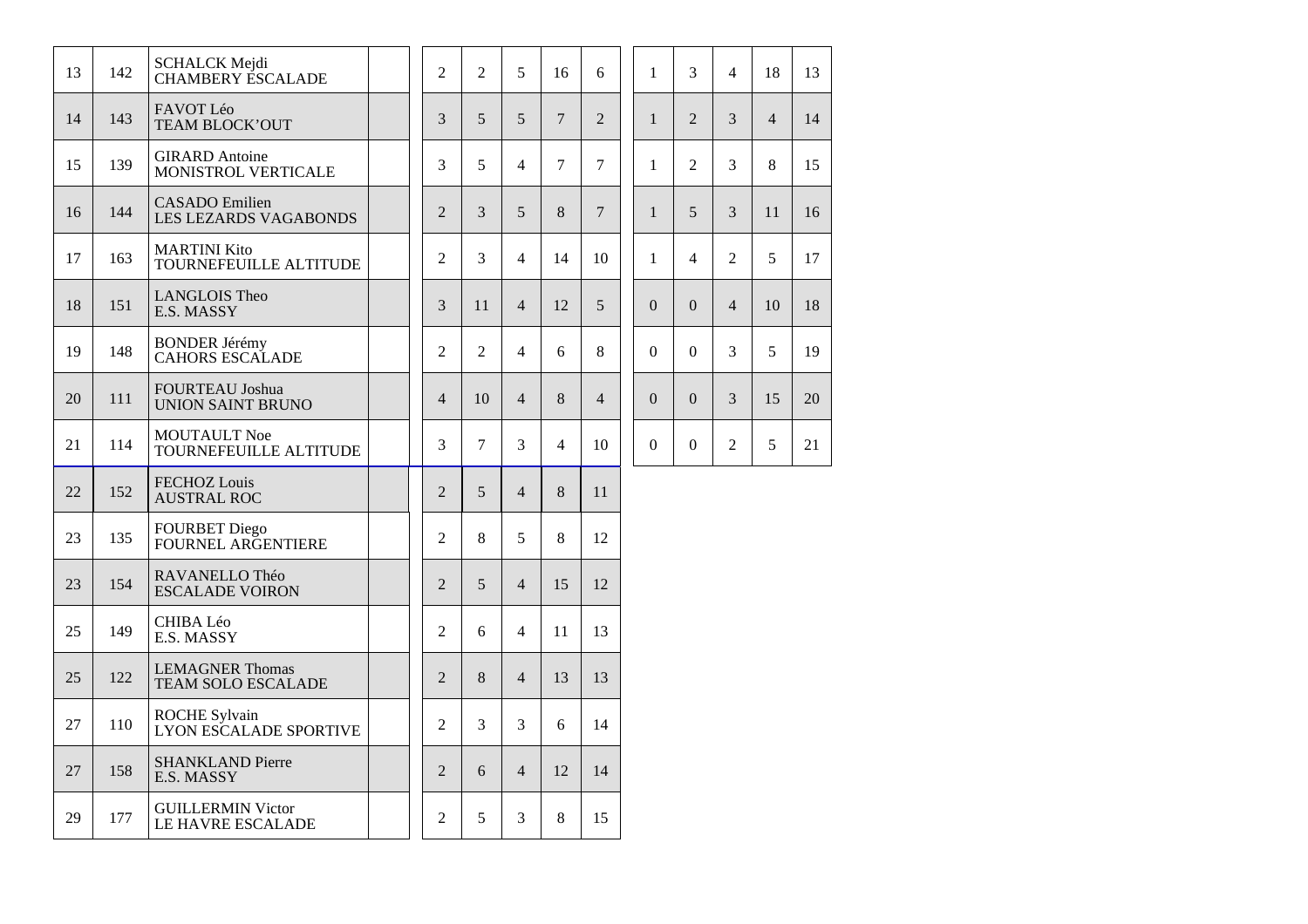| 13 | 142 | <b>SCHALCK Mejdi</b><br><b>CHAMBERY ESCALADE</b>      |  | $\overline{2}$ | $\overline{2}$ | 5              | 16             | 6              | $\mathbf{1}$     | 3                | $\overline{4}$ | 18             | 13 |
|----|-----|-------------------------------------------------------|--|----------------|----------------|----------------|----------------|----------------|------------------|------------------|----------------|----------------|----|
| 14 | 143 | FAVOT Léo<br>TEAM BLOCK'OUT                           |  | 3              | 5              | 5              | $\overline{7}$ | $\overline{2}$ | $\mathbf{1}$     | $\overline{2}$   | 3              | $\overline{4}$ | 14 |
| 15 | 139 | <b>GIRARD</b> Antoine<br>MONISTROL VERTICALE          |  | 3              | 5              | $\overline{4}$ | 7              | $\overline{7}$ | $\mathbf{1}$     | $\overline{2}$   | $\overline{3}$ | 8              | 15 |
| 16 | 144 | <b>CASADO</b> Emilien<br><b>LES LEZARDS VAGABONDS</b> |  | $\overline{2}$ | 3              | 5              | 8              | $\overline{7}$ | $\mathbf{1}$     | 5                | 3              | 11             | 16 |
| 17 | 163 | <b>MARTINI Kito</b><br>TOURNEFEUILLE ALTITUDE         |  | 2              | 3              | $\overline{4}$ | 14             | 10             | $\mathbf{1}$     | $\overline{4}$   | $\overline{2}$ | 5              | 17 |
| 18 | 151 | <b>LANGLOIS Theo</b><br>E.S. MASSY                    |  | 3              | 11             | $\overline{4}$ | 12             | 5              | $\overline{0}$   | $\overline{0}$   | $\overline{4}$ | 10             | 18 |
| 19 | 148 | <b>BONDER Jérémy</b><br><b>CAHORS ESCALADE</b>        |  | 2              | 2              | 4              | 6              | 8              | $\Omega$         | $\Omega$         | $\overline{3}$ | 5              | 19 |
| 20 | 111 | <b>FOURTEAU Joshua</b><br>UNION SAINT BRUNO           |  | $\overline{4}$ | 10             | $\overline{4}$ | 8              | $\overline{4}$ | $\overline{0}$   | $\overline{0}$   | 3              | 15             | 20 |
| 21 | 114 | <b>MOUTAULT Noe</b><br>TOURNEFEUILLE ALTITUDE         |  | 3              | $\tau$         | 3              | $\overline{4}$ | 10             | $\boldsymbol{0}$ | $\boldsymbol{0}$ | $\overline{2}$ | 5              | 21 |
| 22 | 152 | <b>FECHOZ</b> Louis<br><b>AUSTRAL ROC</b>             |  | 2              | 5              | $\overline{4}$ | 8              | 11             |                  |                  |                |                |    |
| 23 | 135 | <b>FOURBET Diego</b><br>FOURNEL ARGENTIERE            |  | 2              | 8              | 5              | 8              | 12             |                  |                  |                |                |    |
| 23 | 154 | RAVANELLO Théo<br><b>ESCALADE VOIRON</b>              |  | 2              | $\mathfrak{H}$ | $\overline{4}$ | 15             | 12             |                  |                  |                |                |    |
| 25 | 149 | CHIBA Léo<br>E.S. MASSY                               |  | $\overline{2}$ | 6              | 4              | 11             | 13             |                  |                  |                |                |    |
| 25 | 122 | <b>LEMAGNER Thomas</b><br><b>TEAM SOLO ESCALADE</b>   |  | $\overline{2}$ | 8              | $\overline{4}$ | 13             | 13             |                  |                  |                |                |    |
| 27 | 110 | <b>ROCHE Sylvain</b><br>LYON ESCALADE SPORTIVE        |  | 2              | 3              | 3              | 6              | 14             |                  |                  |                |                |    |
| 27 | 158 | <b>SHANKLAND Pierre</b><br>E.S. MASSY                 |  | $\overline{2}$ | 6              | $\overline{4}$ | 12             | 14             |                  |                  |                |                |    |
| 29 | 177 | <b>GUILLERMIN Victor</b><br>LE HAVRE ESCALADE         |  | 2              | 5              | 3              | 8              | 15             |                  |                  |                |                |    |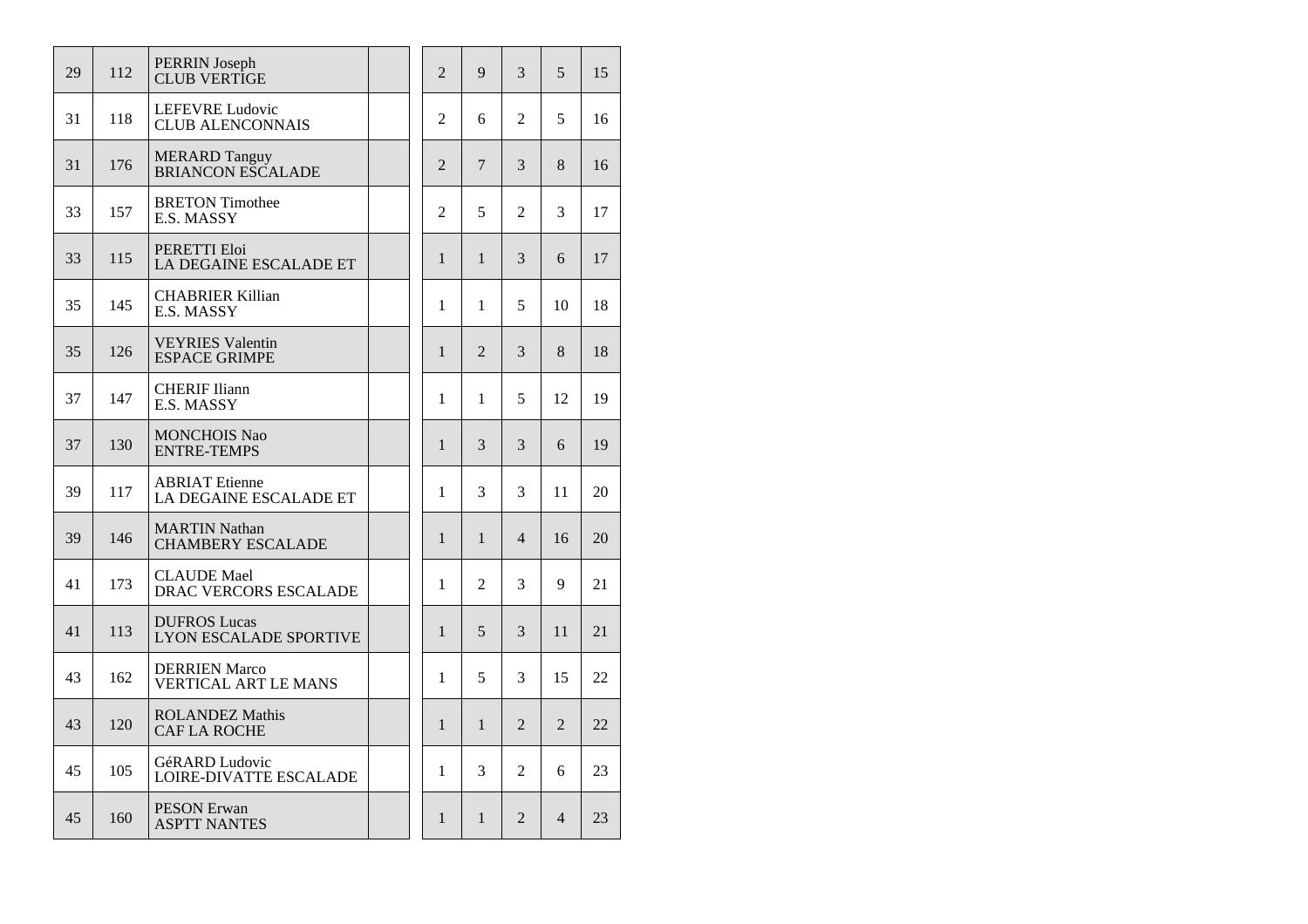| 29 | 112 | <b>PERRIN</b> Joseph<br><b>CLUB VERTIGE</b>          | $\overline{2}$ | 9              | 3              | 5              | 15 |
|----|-----|------------------------------------------------------|----------------|----------------|----------------|----------------|----|
| 31 | 118 | <b>LEFEVRE Ludovic</b><br><b>CLUB ALENCONNAIS</b>    | $\overline{2}$ | 6              | $\overline{2}$ | 5              | 16 |
| 31 | 176 | <b>MERARD Tanguy</b><br><b>BRIANCON ESCALADE</b>     | $\overline{2}$ | 7              | 3              | 8              | 16 |
| 33 | 157 | <b>BRETON Timothee</b><br>E.S. MASSY                 | $\overline{2}$ | 5              | $\overline{2}$ | 3              | 17 |
| 33 | 115 | PERETTI Eloi<br>LA DEGAINE ESCALADE ET               | $\mathbf{1}$   | $\mathbf{1}$   | 3              | 6              | 17 |
| 35 | 145 | <b>CHABRIER Killian</b><br>E.S. MASSY                | 1              | $\mathbf{1}$   | 5              | 10             | 18 |
| 35 | 126 | <b>VEYRIES</b> Valentin<br><b>ESPACE GRIMPE</b>      | $\mathbf{1}$   | $\mathfrak{D}$ | 3              | 8              | 18 |
| 37 | 147 | <b>CHERIF Iliann</b><br>E.S. MASSY                   | 1              | 1              | 5              | 12             | 19 |
| 37 | 130 | <b>MONCHOIS Nao</b><br><b>ENTRE-TEMPS</b>            | 1              | 3              | 3              | 6              | 19 |
| 39 | 117 | <b>ABRIAT</b> Etienne<br>LA DEGAINE ESCALADE ET      | $\mathbf{1}$   | 3              | 3              | 11             | 20 |
| 39 | 146 | <b>MARTIN Nathan</b><br><b>CHAMBERY ESCALADE</b>     | $\mathbf{1}$   | $\mathbf{1}$   | $\overline{4}$ | 16             | 20 |
| 41 | 173 | <b>CLAUDE</b> Mael<br>DRAC VERCORS ESCALADE          | 1              | 2              | 3              | 9              | 21 |
| 41 | 113 | <b>DUFROS Lucas</b><br><b>LYON ESCALADE SPORTIVE</b> | 1              | 5              | 3              | 11             | 21 |
| 43 | 162 | <b>DERRIEN Marco</b><br><b>VERTICAL ART LE MANS</b>  | 1              | 5              | 3              | 15             | 22 |
| 43 | 120 | <b>ROLANDEZ Mathis</b><br><b>CAF LA ROCHE</b>        | $\mathbf{1}$   | 1              | $\overline{2}$ | $\overline{2}$ | 22 |
| 45 | 105 | GéRARD Ludovic<br><b>LOIRE-DIVATTE ESCALADE</b>      | 1              | 3              | $\overline{2}$ | 6              | 23 |
| 45 | 160 | <b>PESON Erwan</b><br><b>ASPTT NANTES</b>            | $\mathbf{1}$   | $\mathbf{1}$   | $\overline{2}$ | 4              | 23 |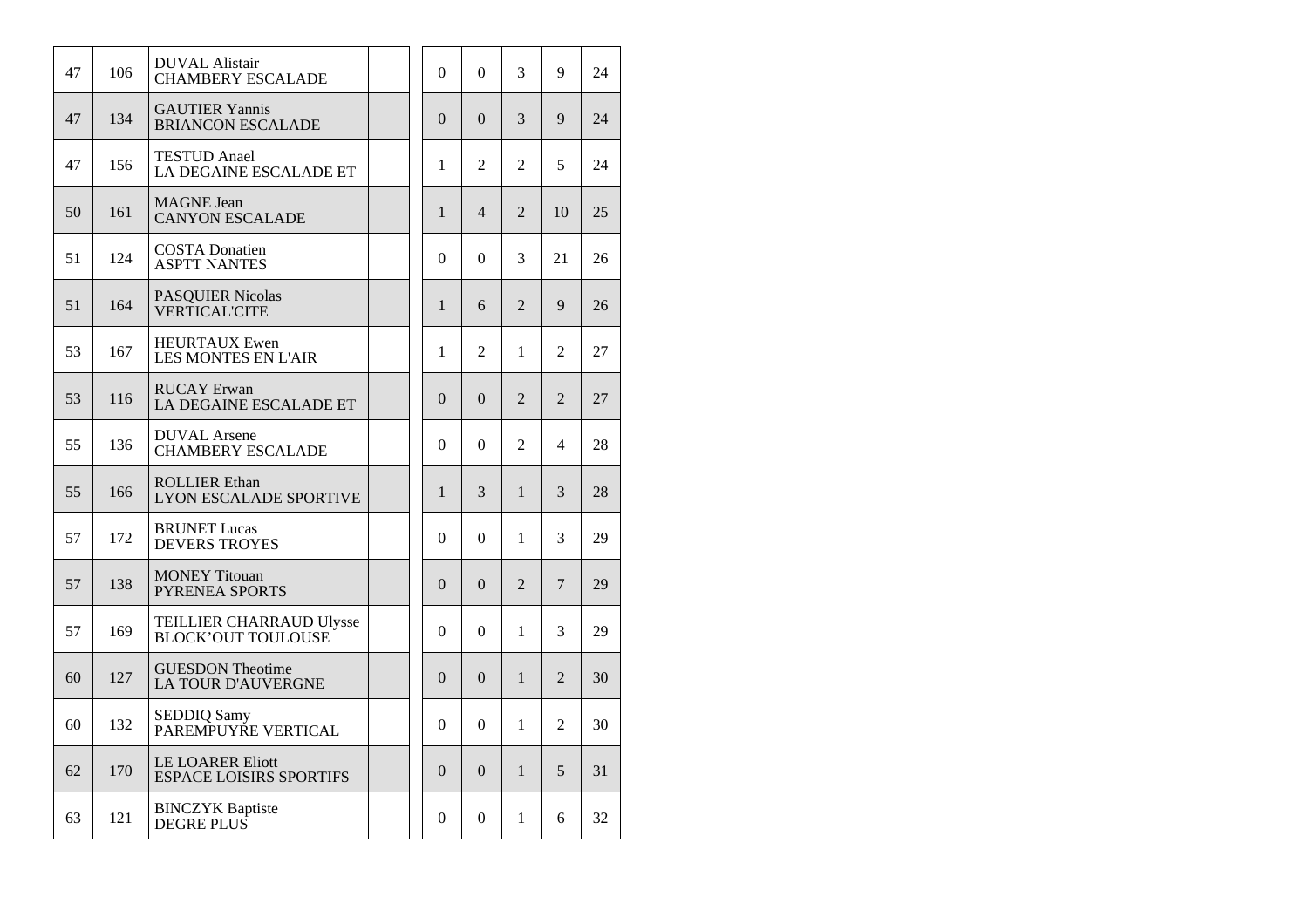| 47 | 106 | <b>DUVAL Alistair</b><br><b>CHAMBERY ESCALADE</b>         |  | $\mathbf{0}$ | $\boldsymbol{0}$ | 3              | 9              | 24 |
|----|-----|-----------------------------------------------------------|--|--------------|------------------|----------------|----------------|----|
| 47 | 134 | <b>GAUTIER Yannis</b><br><b>BRIANCON ESCALADE</b>         |  | $\theta$     | $\Omega$         | 3              | 9              | 24 |
| 47 | 156 | <b>TESTUD</b> Anael<br>LA DEGAINE ESCALADE ET             |  | 1            | 2                | 2              | 5              | 24 |
| 50 | 161 | <b>MAGNE</b> Jean<br><b>CANYON ESCALADE</b>               |  | $\mathbf{1}$ | $\overline{4}$   | $\overline{2}$ | 10             | 25 |
| 51 | 124 | <b>COSTA Donatien</b><br><b>ASPTT NANTES</b>              |  | $\theta$     | $\theta$         | 3              | 21             | 26 |
| 51 | 164 | <b>PASQUIER Nicolas</b><br><b>VERTICAL'CITE</b>           |  | $\mathbf{1}$ | 6                | $\overline{2}$ | 9              | 26 |
| 53 | 167 | <b>HEURTAUX Ewen</b><br><b>LES MONTES EN L'AIR</b>        |  | 1            | $\mathfrak{D}$   | 1              | $\mathfrak{D}$ | 27 |
| 53 | 116 | <b>RUCAY</b> Erwan<br>LA DEGAINE ESCALADE ET              |  | $\theta$     | $\Omega$         | $\overline{2}$ | $\overline{2}$ | 27 |
| 55 | 136 | <b>DUVAL</b> Arsene<br><b>CHAMBERY ESCALADE</b>           |  | $\theta$     | $\theta$         | $\overline{2}$ | 4              | 28 |
| 55 | 166 | <b>ROLLIER Ethan</b><br><b>LYON ESCALADE SPORTIVE</b>     |  | $\mathbf{1}$ | 3                | 1              | 3              | 28 |
| 57 | 172 | <b>BRUNET</b> Lucas<br><b>DEVERS TROYES</b>               |  | $\theta$     | $\theta$         | 1              | 3              | 29 |
| 57 | 138 | <b>MONEY Titouan</b><br><b>PYRENEA SPORTS</b>             |  | $\theta$     | $\Omega$         | $\overline{2}$ | 7              | 29 |
| 57 | 169 | TEILLIER CHARRAUD Ulysse<br><b>BLOCK'OUT TOULOUSE</b>     |  | $\theta$     | $\Omega$         | 1              | 3              | 29 |
| 60 | 127 | <b>GUESDON Theotime</b><br><b>LA TOUR D'AUVERGNE</b>      |  | $\theta$     | $\Omega$         | $\mathbf{1}$   | $\overline{2}$ | 30 |
| 60 | 132 | <b>SEDDIQ Samy</b><br>PAREMPUYŘE VERTICAL                 |  | $\theta$     | $\theta$         | 1              | 2              | 30 |
| 62 | 170 | <b>LE LOARER Eliott</b><br><b>ESPACE LOISIRS SPORTIFS</b> |  | $\Omega$     | $\Omega$         | $\mathbf{1}$   | 5              | 31 |
| 63 | 121 | <b>BINCZYK</b> Baptiste<br>DEGRE PLUS                     |  | $\Omega$     | $\theta$         | 1              | 6              | 32 |